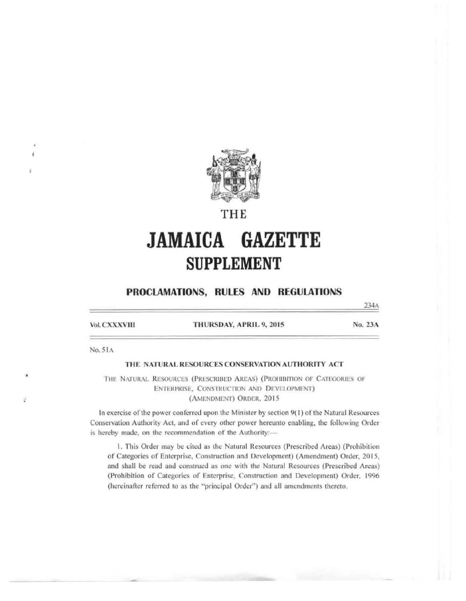

# THE

# **JAMAICA GAZETTE SUPPLEMENT**

# PROCLAMATIONS, RULES AND REGULATIONS

Vol. CXXXVIII

THURSDAY, APRIL 9, 2015

No. 23A

234A

No. 51A

## THE NATURAL RESOURCES CONSERVATION AUTHORITY ACT

THE NATURAL RESOURCES (PRESCRIBED AREAS) (PROHIBITION OF CATEGORIES OF ENTERPRISE, CONSTRUCTION AND DEVELOPMENT) (AMENDMENT) ORDER, 2015

In exercise of the power conferred upon the Minister by section 9(1) of the Natural Resources Conservation Authority Act, and of every other power hereunto enabling, the following Order is hereby made, on the recommendation of the Authority:-

1. This Order may be cited as the Natural Resources (Prescribed Areas) (Prohibition of Categories of Enterprise, Construction and Development) (Amendment) Order, 2015, and shall be read and construed as one with the Natural Resources (Prescribed Areas) (Prohibition of Categories of Enterprise, Construction and Development) Order, 1996 (hereinafter referred to as the "principal Order") and all amendments thereto.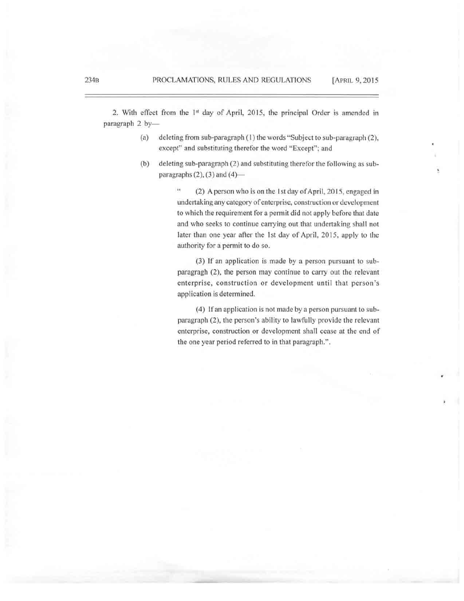2. With effect from the 1<sup>st</sup> day of April, 2015, the principal Order is amended in paragraph 2 by-

- (a) deleting from sub-paragraph (I) the words "Subject to sub-paragraph (2). except" and substituting therefor the word "Except"; and
- (b) deleting sub-paragraph (2) and substituting therefor the following as subparagraphs  $(2)$ ,  $(3)$  and  $(4)$ —

 $\frac{1}{2}$ (2) A person who is on the 1st day of April, 2015, engaged in undertaking any category of enterprise, construction or development to which the requirement for a pennit did not apply before that date and who seeks to continue carrying out that undertaking shall not later than one year after the 1st day of April, 2015, apply to the authority for a permit to do so.

(3) If an application is made by a person pursuant to subparagragh (2), the person may continue to carry out the relevant enterprise. construction or development until that person's application is determined.

(4) !fan application is not made by a person pursuant to subparagraph (2), the person's ability to lawfully provide the relevant enterprise, construction or development shall cease at the end of the one year period refened to in that paragraph.".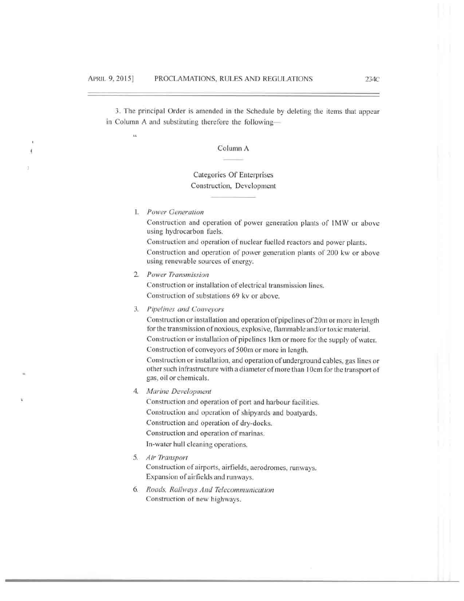3. The principal Order is amended in the Schedule by deleting the items that appear in Column A and substituting therefore the following-

Column A

# Categories Of Enterprises Construction, Development

1. Power Generation

 $\overline{\mathbf{S}}$ 

Construction and operation of power generation plants of 1MW or above using hydrocarbon fuels.

Construction and operation of nuclear fuelled reactors and power plants. Construction and operation of power generation plants of 200 kw or above using renewable sources of energy.

2. Power Transmission

Construction or installation of electrical transmission lines. Construction of substations 69 kv or above.

3. Pipelines and Conveyors

Construction or installation and operation of pipelines of 20m or more in length for the transmission of noxious, explosive, flammable and/or toxic material. Construction or installation of pipelines 1km or more for the supply of water. Construction of conveyors of 500m or more in length.

Construction or installation, and operation of underground cables, gas lines or other such infrastructure with a diameter of more than 10cm for the transport of gas, oil or chemicals.

4. Marine Development

Construction and operation of port and harbour facilities. Construction and operation of shipyards and boatyards. Construction and operation of dry-docks. Construction and operation of marinas. In-water hull cleaning operations.

5. Air Transport

Construction of airports, airfields, aerodromes, runways. Expansion of airfields and runways.

6. Roads, Railways And Telecommunication Construction of new highways.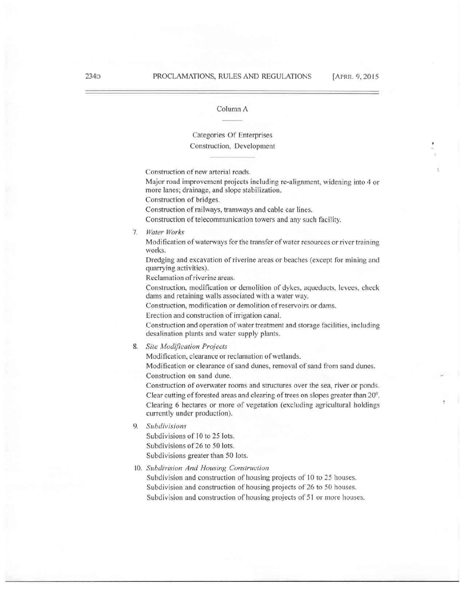## Categories Of Enterprises Construction, Development

Construction of new arterial roads.

Major road improvement projects including re-alignment, widening into 4 or more lanes; drainage, and slope stabilization.

Construction of bridges.

Construction of railways, tramways and cable car lines.

Construction of telecommunication towers and any such facility.

## 7. *Water Works*

Modification of waterways for the transfer of water resources or river training works.

Dredging nnd excavation of riverine areas or beaches (except for mining and quanying activities).

Reclamation of riverine areas.

Construction, modification or demolition of dykes, aqueducts, levees, check dams and retaining walls associated with a water way.

Construction, modification or demolition of reservoirs or dams.

Erection and construction of irrigation canal.

Construction and operation of water treatment and storage facilities, including desalination plants and water supply plants.

8. Site Modification Projects

Modification, clearance or reclamation of wetlands.

Modification or clearance of sand dunes, removal of sand from sand dunes. Construction on sand dune.

Construction of overwater rooms and structures over the sea, river or ponds. Clear cutting of forested areas and clearing of trees on slopes greater than 20°. Clearing 6 hectares or more of vegetation (excluding agricultural holdings currently under production).

9. *Subdivisions* 

Subdivisions of IO to 25 lots. Subdivisions of 26 to 50 lots. Subdivisions greater than 50 lots.

10. Subdivision And Housing Construction

Subdivision and construction of housing projects of 10 to 25 houses. Subdivision and construction of housing projects of 26 to 50 houses. Subdivision and construction of housing projects of 51 or more houses.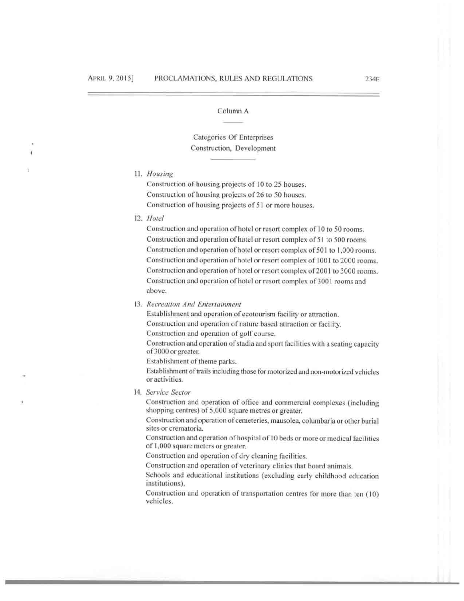# Categories Of Enterprises Construction, Development

## 11. Housing

Construction of housing projects of 10 to 25 houses. Construction of housing projects of 26 to 50 houses. Construction of housing projects of 51 or more houses.

12. Hotel

Construction and operation of hotel or resort complex of 10 to 50 rooms. Construction and operation of hotel or resort complex of 51 to 500 rooms. Construction and operation of hotel or resort complex of 501 to 1,000 rooms. Construction and operation of hotel or resort complex of 1001 to 2000 rooms. Construction and operation of hotel or resort complex of 2001 to 3000 rooms. Construction and operation of hotel or resort complex of 3001 rooms and above.

13. Recreation And Entertainment

Establishment and operation of ecotourism facility or attraction. Construction and operation of nature based attraction or facility. Construction and operation of golf course.

Construction and operation of stadia and sport facilities with a seating capacity of 3000 or greater.

Establishment of theme parks.

Establishment of trails including those for motorized and non-motorized vehicles or activities.

14. Service Sector

Construction and operation of office and commercial complexes (including shopping centres) of 5,000 square metres or greater.

Construction and operation of cemeteries, mausolea, columbaria or other burial sites or crematoria.

Construction and operation of hospital of 10 beds or more or medical facilities of 1,000 square meters or greater.

Construction and operation of dry cleaning facilities.

Construction and operation of veterinary clinics that board animals.

Schools and educational institutions (excluding early childhood education institutions).

Construction and operation of transportation centres for more than ten (10) vehicles.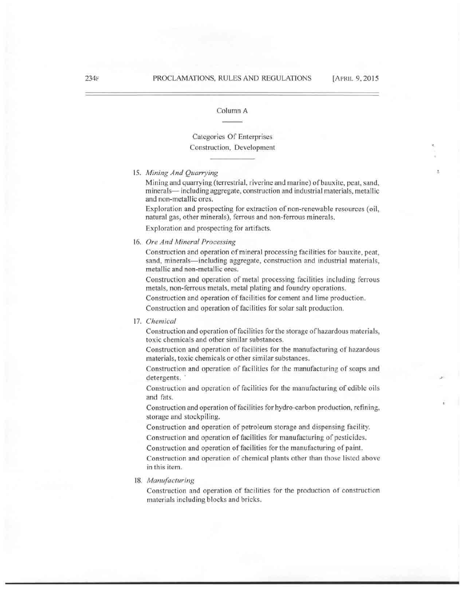,..

#### Column A

## Categories Of Enterprises Construction, Development

15. Mining And Quarrying

Mining and quarrying (terrestrial, riverine and marine) of bauxite, peat, sand, minerals— including aggregate, construction and industrial materials, metallic and non-metallic ores.

Exploration and prospecting for extraction of non-renewable resources (oil, natural gas, other minerals), ferrous and non-ferrous minerals.

Exploration and prospecting for artifacts.

### 16. *Ore And Mineral Processing*

Construction and operation of mineral processing facilities for bauxite, peat, sand, minerals—including aggregate, construction and industrial materials, metallic and non-metallic ores.

Construction and operation of metal processing facilities including ferrous metals, non-ferrous metals, metal plating and foundry operations.

Construction and operation of facilities for cement and lime production.

Construction and operation of facilities for solar salt production.

#### 17. *Chemical*

Construction and operation of facilities for the storage of hazardous materials, toxic chemicals and other similar substances.

Construction and operation of facilities for the manufacturing of hazardous materials, toxic chemicals or other similar substances.

Construction and operation of facilities for the manufacturing of soaps and detergents.

Construction and operation of facilities for the manufacturing of edible oils and fats.

Construction and operation of facilities for hydro-carbon production, refining, storage and stockpiling.

Construction and operation of petroleum storage and dispensing facility. Construction and operation of facilities for manufacturing of pesticides.

Construction and operation of facilities for the manufacturing of paint.

Construction and operation of chemical plants other than those listed above in this item.

#### 18. *Manufacturing*

Construction nnd operation of facilities for the production of construction materials including blocks and bricks.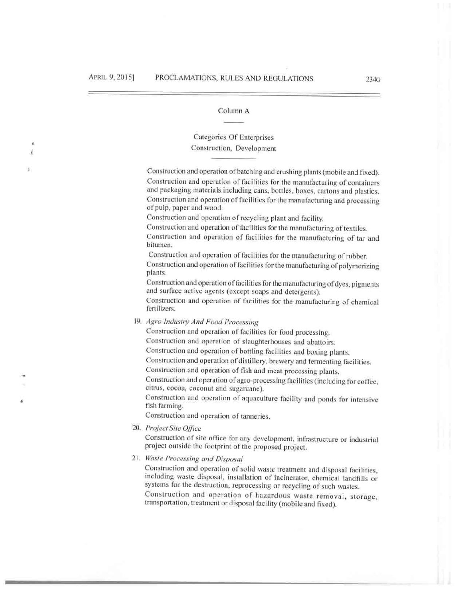# Categories Of Enterprises Construction. Development

Construction and operation of batching and crushing plants (mobile and fixed). Construction and operation of facilities for the manufacturing of containers and packaging materials including cans, bottles, boxes, cartons and plastics. Construction and operation of facilities for the manufacturing and processing of pulp, paper and wood.

Consrruction nnd operation of recycling plant and facility.

Construction and operation of facilities for the manufacturing of textiles.

Construction and operation of facilities for the manufacturing of tar and bitumen.

Construction and operation of facilities for the manufacturing of rubber. Construction and operation of facilities for the manufacturing of polymerizing plants.

Construction and operation of facilities for the manufacturing of dyes, pigments and surface active agents (except soaps and detergents).

Construction and operation of facilities for the manufacturing of chemical fertilizers.

19. Agro Industry And Food Processing

Construction and operation of facilities for food processing.

Construction and operation of slaughterhouses and abattoirs.

Construction and operation of bottling facilities and boxing plants.

Construction and operation of distillery, brewery and fermenting facilities.

Construction and operation of fish and meat processing plants.

Construction and operation of agro-processing facilities (including for coffee, citrus, cocoa, coconut and sugarcane).

Construction and operation of aquaculture facility and ponds for intensive fish farming..

Construction and operation of tanneries.

20. *l'roject Site Offir:e* 

Construction of site office for any development, infrastructure or industrial project outside the footprint of the proposed project.

21. *Waste Processing and Disposed* 

Construction and operation of solid waste treatment and disposal facilities, including waste disposal, installation of incinerator, chemical landfills or systems for the destruction, reprocessing or recycling of such wastes.

Construction and operation of hazardous waste removal, storage, transportation, treatment or disposal facility (mobile and fixed).